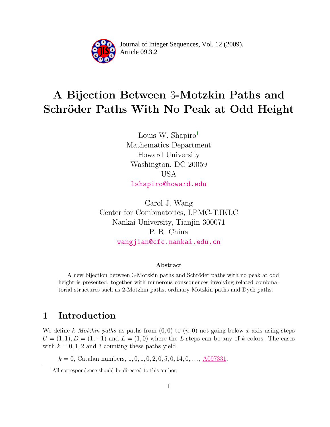

Article 09.3.2 **<sup>2</sup>** Journal of Integer Sequences, Vol. 12 (2009),

# A Bijection Between 3-Motzkin Paths and Schröder Paths With No Peak at Odd Height

Louis W. Shapiro $<sup>1</sup>$  $<sup>1</sup>$  $<sup>1</sup>$ </sup> Mathematics Department Howard University Washington, DC 20059 USA [lshapiro@howard.edu](mailto:lshapiro@howard.edu)

Carol J. Wang Center for Combinatorics, LPMC-TJKLC Nankai University, Tianjin 300071 P. R. China [wangjian@cfc.nankai.edu.cn](file:wangjian@cfc.nankai.edu.cn)

#### Abstract

A new bijection between 3-Motzkin paths and Schröder paths with no peak at odd height is presented, together with numerous consequences involving related combinatorial structures such as 2-Motzkin paths, ordinary Motzkin paths and Dyck paths.

# 1 Introduction

We define k-Motzkin paths as paths from  $(0, 0)$  to  $(n, 0)$  not going below x-axis using steps  $U = (1, 1), D = (1, -1)$  and  $L = (1, 0)$  where the L steps can be any of k colors. The cases with  $k = 0, 1, 2$  and 3 counting these paths yield

 $k = 0$ , Catalan numbers, 1, 0, 1, 0, 2, 0, 5, 0, 14, 0, ..., [A097331;](http://www.research.att.com/cgi-bin/access.cgi/as/~njas/sequences/eisA.cgi?Anum=A097331)

<span id="page-0-0"></span><sup>&</sup>lt;sup>1</sup>All correspondence should be directed to this author.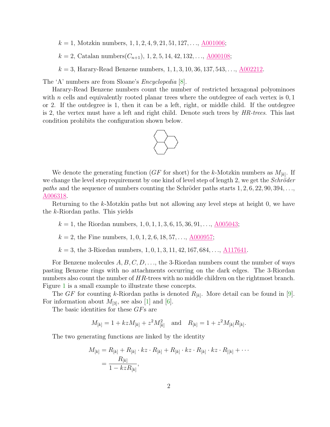$k = 1$ , Motzkin numbers,  $1, 1, 2, 4, 9, 21, 51, 127, \ldots, \underline{A001006}$ ;

 $k = 2$ , Catalan numbers $(C_{n+1}), 1, 2, 5, 14, 42, 132, \ldots, \underline{A000108}$ ;

 $k = 3$ , Harary-Read Benzene numbers,  $1, 1, 3, 10, 36, 137, 543, \ldots$ , [A002212.](http://www.research.att.com/cgi-bin/access.cgi/as/~njas/sequences/eisA.cgi?Anum=A002212)

The 'A' numbers are from Sloane's *Encyclopedia* [\[8\]](#page-8-0).

Harary-Read Benzene numbers count the number of restricted hexagonal polyominoes with  $n$  cells and equivalently rooted planar trees where the outdegree of each vertex is  $0, 1$ or 2. If the outdegree is 1, then it can be a left, right, or middle child. If the outdegree is 2, the vertex must have a left and right child. Denote such trees by  $HR\text{-}trees$ . This last condition prohibits the configuration shown below.



We denote the generating function ( $GF$  for short) for the k-Motzkin numbers as  $M_{[k]}$ . If we change the level step requirement by one kind of level step of length 2, we get the *Schröder* paths and the sequence of numbers counting the Schröder paths starts  $1, 2, 6, 22, 90, 394, \ldots$ [A006318.](http://www.research.att.com/cgi-bin/access.cgi/as/~njas/sequences/eisA.cgi?Anum=A006318)

Returning to the k-Motzkin paths but not allowing any level steps at height 0, we have the k-Riordan paths. This yields

 $k = 1$ , the Riordan numbers, 1, 0, 1, 1, 3, 6, 15, 36, 91, ..., [A005043;](http://www.research.att.com/cgi-bin/access.cgi/as/~njas/sequences/eisA.cgi?Anum=A005043)

k = 2, the Fine numbers, 1, 0, 1, 2, 6, 18, 57, . . ., [A000957;](http://www.research.att.com/cgi-bin/access.cgi/as/~njas/sequences/eisA.cgi?Anum=A000957)

 $k = 3$ , the 3-Riordan numbers,  $1, 0, 1, 3, 11, 42, 167, 684, \ldots, \underline{A117641}$ .

For Benzene molecules  $A, B, C, D, \ldots$ , the 3-Riordan numbers count the number of ways pasting Benzene rings with no attachments occurring on the dark edges. The 3-Riordan numbers also count the number of HR-trees with no middle children on the rightmost branch. Figure [1](#page-2-0) is a small example to illustrate these concepts.

The GF for counting k-Riordan paths is denoted  $R_{[k]}$ . More detail can be found in [\[9\]](#page-8-1). For information about  $M_{[3]}$ , see also [\[1\]](#page-7-0) and [\[6\]](#page-8-2).

The basic identities for these GFs are

$$
M_{[k]} = 1 + kzM_{[k]} + z^2M_{[k]}^2
$$
 and  $R_{[k]} = 1 + z^2M_{[k]}R_{[k]}.$ 

The two generating functions are linked by the identity

$$
M_{[k]} = R_{[k]} + R_{[k]} \cdot kz \cdot R_{[k]} + R_{[k]} \cdot kz \cdot R_{[k]} \cdot kz \cdot R_{[k]} + \cdots
$$
  
= 
$$
\frac{R_{[k]}}{1 - kzR_{[k]}},
$$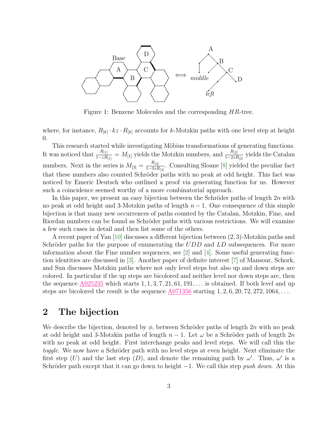

<span id="page-2-0"></span>Figure 1: Benzene Molecules and the corresponding HR-tree.

where, for instance,  $R_{[k]} \cdot kz \cdot R_{[k]}$  accounts for k-Motzkin paths with one level step at height 0.

This research started while investigating Möbius transformations of generating functions. It was noticed that  $\frac{R_{[1]}}{1-zR_{[1]}} = M_{[1]}$  yields the Motzkin numbers, and  $\frac{R_{[2]}}{1-2zR_{[2]}}$  yields the Catalan numbers. Next in the series is  $M_{[3]} = \frac{R_{[3]}}{1-3z\hbar}$  $\frac{n_{[3]}}{1-3zR_{[3]}}$ . Consulting Sloane [\[8\]](#page-8-0) yielded the peculiar fact that these numbers also counted Schröder paths with no peak at odd height. This fact was noticed by Emeric Deutsch who outlined a proof via generating function for us. However such a coincidence seemed worthy of a more combinatorial approach.

In this paper, we present an easy bijection between the Schröder paths of length  $2n$  with no peak at odd height and 3-Motzkin paths of length  $n-1$ . One consequence of this simple bijection is that many new occurrences of paths counted by the Catalan, Motzkin, Fine, and Riordan numbers can be found as Schröder paths with various restrictions. We will examine a few such cases in detail and then list some of the others.

A recent paper of Yan [\[10\]](#page-8-3) discusses a different bijection between (2, 3)-Motzkin paths and Schröder paths for the purpose of enumerating the  $UDD$  and  $LD$  subsequences. For more information about the Fine number sequences, see [\[2\]](#page-7-1) and [\[4\]](#page-8-4). Some useful generating function identities are discussed in [\[3\]](#page-8-5). Another paper of definite interest [\[7\]](#page-8-6) of Mansour, Schork, and Sun discusses Motzkin paths where not only level steps but also up and down steps are colored. In particular if the up steps are bicolored and neither level nor down steps are, then the sequence  $\underline{A025235}$  $\underline{A025235}$  $\underline{A025235}$  which starts 1, 1, 3, 7, 21, 61, 191, ... is obtained. If both level and up steps are bicolored the result is the sequence  $A071356$  starting  $1, 2, 6, 20, 72, 272, 1064, \ldots$ 

## 2 The bijection

We describe the bijection, denoted by  $\phi$ , between Schröder paths of length 2n with no peak at odd height and 3-Motzkin paths of length  $n-1$ . Let  $\omega$  be a Schröder path of length 2n with no peak at odd height. First interchange peaks and level steps. We will call this the toggle. We now have a Schröder path with no level steps at even height. Next eliminate the first step (U) and the last step (D), and denote the remaining path by  $\omega'$ . Thus,  $\omega'$  is a Schröder path except that it can go down to height  $-1$ . We call this step *push down*. At this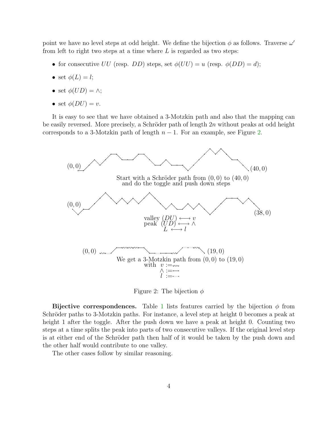point we have no level steps at odd height. We define the bijection  $\phi$  as follows. Traverse  $\omega'$ from left to right two steps at a time where  $L$  is regarded as two steps:

- for consecutive UU (resp. DD) steps, set  $\phi(UU) = u$  (resp.  $\phi(DD) = d$ );
- set  $\phi(L) = l$ ;
- set  $\phi(UD) = \wedge$ ;
- set  $\phi(DU) = v$ .

It is easy to see that we have obtained a 3-Motzkin path and also that the mapping can be easily reversed. More precisely, a Schröder path of length  $2n$  without peaks at odd height corresponds to a 3-Motzkin path of length  $n-1$ . For an example, see Figure [2.](#page-3-0)



<span id="page-3-0"></span>Figure 2: The bijection  $\phi$ 

Bijective correspondences. Table [1](#page-4-0) lists features carried by the bijection  $\phi$  from Schröder paths to 3-Motzkin paths. For instance, a level step at height 0 becomes a peak at height 1 after the toggle. After the push down we have a peak at height 0. Counting two steps at a time splits the peak into parts of two consecutive valleys. If the original level step is at either end of the Schröder path then half of it would be taken by the push down and the other half would contribute to one valley.

The other cases follow by similar reasoning.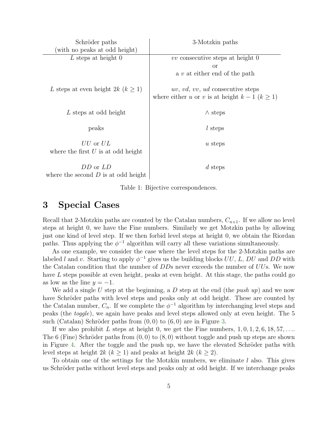| Schröder paths                                       | 3-Motzkin paths                                                                               |
|------------------------------------------------------|-----------------------------------------------------------------------------------------------|
| (with no peaks at odd height)                        |                                                                                               |
| $L$ steps at height 0                                | $vv$ consecutive steps at height 0                                                            |
|                                                      | or                                                                                            |
|                                                      | a $v$ at either end of the path                                                               |
| L steps at even height 2k ( $k \geq 1$ )             | <i>uv, vd, vv, ud</i> consecutive steps<br>where either u or v is at height $k-1$ $(k \ge 1)$ |
| L steps at odd height                                | $\wedge$ steps                                                                                |
| peaks                                                | $l$ steps                                                                                     |
| $UU$ or $UL$<br>where the first $U$ is at odd height | $u$ steps                                                                                     |
| DD or LD<br>where the second $D$ is at odd height    | $d$ steps                                                                                     |

<span id="page-4-0"></span>Table 1: Bijective correspondences.

### 3 Special Cases

Recall that 2-Motzkin paths are counted by the Catalan numbers,  $C_{n+1}$ . If we allow no level steps at height 0, we have the Fine numbers. Similarly we get Motzkin paths by allowing just one kind of level step. If we then forbid level steps at height 0, we obtain the Riordan paths. Thus applying the  $\phi^{-1}$  algorithm will carry all these variations simultaneously.

As one example, we consider the case where the level steps for the 2-Motzkin paths are labeled l and v. Starting to apply  $\phi^{-1}$  gives us the building blocks  $UU, L, DU$  and  $DD$  with the Catalan condition that the number of DDs never exceeds the number of UUs. We now have L steps possible at even height, peaks at even height. At this stage, the paths could go as low as the line  $y = -1$ .

We add a single U step at the beginning, a  $D$  step at the end (the *push up*) and we now have Schröder paths with level steps and peaks only at odd height. These are counted by the Catalan number,  $C_n$ . If we complete the  $\phi^{-1}$  algorithm by interchanging level steps and peaks (the toggle), we again have peaks and level steps allowed only at even height. The 5 such (Catalan) Schröder paths from  $(0,0)$  to  $(6,0)$  are in Figure [3.](#page-5-0)

If we also prohibit L steps at height 0, we get the Fine numbers,  $1, 0, 1, 2, 6, 18, 57, \ldots$ The 6 (Fine) Schröder paths from  $(0,0)$  to  $(8,0)$  without toggle and push up steps are shown in Figure [4.](#page-5-1) After the toggle and the push up, we have the elevated Schröder paths with level steps at height  $2k$   $(k \geq 1)$  and peaks at height  $2k$   $(k \geq 2)$ .

To obtain one of the settings for the Motzkin numbers, we eliminate  $l$  also. This gives us Schröder paths without level steps and peaks only at odd height. If we interchange peaks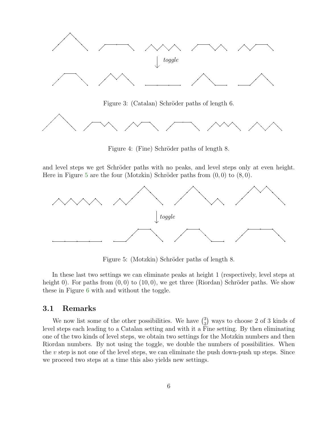

<span id="page-5-0"></span>Figure 3: (Catalan) Schröder paths of length 6.



<span id="page-5-1"></span>Figure 4: (Fine) Schröder paths of length 8.

and level steps we get Schröder paths with no peaks, and level steps only at even height. Here in Figure [5](#page-5-2) are the four (Motzkin) Schröder paths from  $(0,0)$  to  $(8,0)$ .



<span id="page-5-2"></span>Figure 5: (Motzkin) Schröder paths of length 8.

In these last two settings we can eliminate peaks at height 1 (respectively, level steps at height 0). For paths from  $(0, 0)$  to  $(10, 0)$ , we get three (Riordan) Schröder paths. We show these in Figure [6](#page-6-0) with and without the toggle.

#### 3.1 Remarks

We now list some of the other possibilities. We have  $\binom{3}{2}$  $_{2}^{3}$ ) ways to choose 2 of 3 kinds of level steps each leading to a Catalan setting and with it a Fine setting. By then eliminating one of the two kinds of level steps, we obtain two settings for the Motzkin numbers and then Riordan numbers. By not using the toggle, we double the numbers of possibilities. When the  $v$  step is not one of the level steps, we can eliminate the push down-push up steps. Since we proceed two steps at a time this also yields new settings.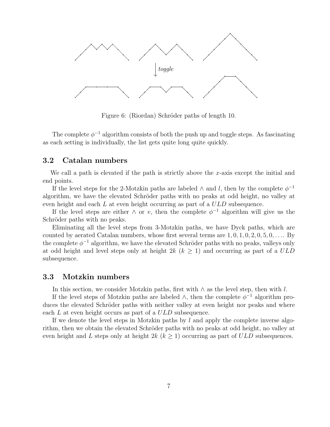

<span id="page-6-0"></span>Figure 6: (Riordan) Schröder paths of length 10.

The complete  $\phi^{-1}$  algorithm consists of both the push up and toggle steps. As fascinating as each setting is individually, the list gets quite long quite quickly.

#### 3.2 Catalan numbers

We call a path is elevated if the path is strictly above the x-axis except the initial and end points.

If the level steps for the 2-Motzkin paths are labeled  $\wedge$  and l, then by the complete  $\phi^{-1}$ algorithm, we have the elevated Schröder paths with no peaks at odd height, no valley at even height and each L at even height occurring as part of a ULD subsequence.

If the level steps are either  $\wedge$  or v, then the complete  $\phi^{-1}$  algorithm will give us the Schröder paths with no peaks.

Eliminating all the level steps from 3-Motzkin paths, we have Dyck paths, which are counted by aerated Catalan numbers, whose first several terms are  $1, 0, 1, 0, 2, 0, 5, 0, \ldots$  By the complete  $\phi^{-1}$  algorithm, we have the elevated Schröder paths with no peaks, valleys only at odd height and level steps only at height 2k  $(k \geq 1)$  and occurring as part of a ULD subsequence.

#### 3.3 Motzkin numbers

In this section, we consider Motzkin paths, first with  $\wedge$  as the level step, then with l.

If the level steps of Motzkin paths are labeled  $\wedge$ , then the complete  $\phi^{-1}$  algorithm produces the elevated Schröder paths with neither valley at even height nor peaks and where each L at even height occurs as part of a ULD subsequence.

If we denote the level steps in Motzkin paths by  $l$  and apply the complete inverse algorithm, then we obtain the elevated Schröder paths with no peaks at odd height, no valley at even height and L steps only at height  $2k$  ( $k \ge 1$ ) occurring as part of ULD subsequences.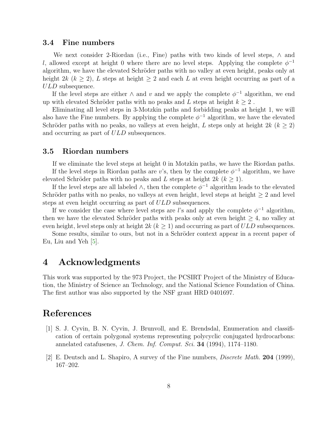#### 3.4 Fine numbers

We next consider 2-Riordan (i.e., Fine) paths with two kinds of level steps,  $\wedge$  and l, allowed except at height 0 where there are no level steps. Applying the complete  $\phi^{-1}$ algorithm, we have the elevated Schröder paths with no valley at even height, peaks only at height 2k ( $k \geq 2$ ), L steps at height  $\geq 2$  and each L at even height occurring as part of a ULD subsequence.

If the level steps are either  $\wedge$  and  $v$  and we apply the complete  $\phi^{-1}$  algorithm, we end up with elevated Schröder paths with no peaks and  $L$  steps at height  $k \geq 2$ .

Eliminating all level steps in 3-Motzkin paths and forbidding peaks at height 1, we will also have the Fine numbers. By applying the complete  $\phi^{-1}$  algorithm, we have the elevated Schröder paths with no peaks, no valleys at even height, L steps only at height  $2k$  ( $k \ge 2$ ) and occurring as part of ULD subsequences.

#### 3.5 Riordan numbers

If we eliminate the level steps at height 0 in Motzkin paths, we have the Riordan paths. If the level steps in Riordan paths are v's, then by the complete  $\phi^{-1}$  algorithm, we have elevated Schröder paths with no peaks and L steps at height  $2k (k > 1)$ .

If the level steps are all labeled  $\wedge$ , then the complete  $\phi^{-1}$  algorithm leads to the elevated Schröder paths with no peaks, no valleys at even height, level steps at height  $\geq 2$  and level steps at even height occurring as part of  $ULD$  subsequences.

If we consider the case where level steps are l's and apply the complete  $\phi^{-1}$  algorithm, then we have the elevated Schröder paths with peaks only at even height  $\geq 4$ , no valley at even height, level steps only at height  $2k (k > 1)$  and occurring as part of  $ULD$  subsequences.

Some results, similar to ours, but not in a Schröder context appear in a recent paper of Eu, Liu and Yeh [\[5\]](#page-8-7).

### 4 Acknowledgments

This work was supported by the 973 Project, the PCSIRT Project of the Ministry of Education, the Ministry of Science an Technology, and the National Science Foundation of China. The first author was also supported by the NSF grant HRD 0401697.

## <span id="page-7-0"></span>References

- [1] S. J. Cyvin, B. N. Cyvin, J. Brunvoll, and E. Brendsdal, Enumeration and classification of certain polygonal systems representing polycyclic conjugated hydrocarbons: annelated catafusenes, J. Chem. Inf. Comput. Sci. 34 (1994), 1174-1180.
- <span id="page-7-1"></span>[2] E. Deutsch and L. Shapiro, A survey of the Fine numbers, Discrete Math. 204 (1999), 167–202.